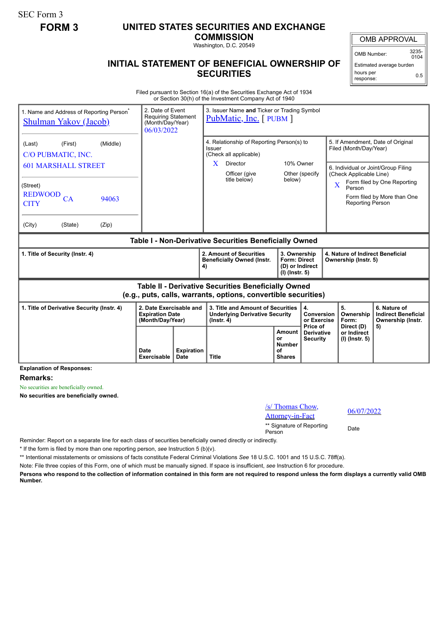SEC Form 3

## **FORM 3 UNITED STATES SECURITIES AND EXCHANGE**

**COMMISSION**

Washington, D.C. 20549

## **INITIAL STATEMENT OF BENEFICIAL OWNERSHIP OF SECURITIES**

OMB APPROVAL

OMB Number: 3235-  $0104$ 

Estimated average burden hours per response: 0.5

Filed pursuant to Section 16(a) of the Securities Exchange Act of 1934 or Section 30(h) of the Investment Company Act of 1940

| 1. Name and Address of Reporting Person <sup>®</sup><br><b>Shulman Yakov (Jacob)</b>                                  | 2. Date of Event<br><b>Requiring Statement</b><br>(Month/Day/Year)<br>06/03/2022 |  | 3. Issuer Name and Ticker or Trading Symbol<br><b>PubMatic, Inc.</b> [PUBM ]                   |                                                                            |                                             |                                                                |                                        |                                                                 |  |
|-----------------------------------------------------------------------------------------------------------------------|----------------------------------------------------------------------------------|--|------------------------------------------------------------------------------------------------|----------------------------------------------------------------------------|---------------------------------------------|----------------------------------------------------------------|----------------------------------------|-----------------------------------------------------------------|--|
| (First)<br>(Middle)<br>(Last)<br>C/O PUBMATIC, INC.                                                                   |                                                                                  |  | 4. Relationship of Reporting Person(s) to<br>Issuer<br>(Check all applicable)                  |                                                                            |                                             | 5. If Amendment, Date of Original<br>Filed (Month/Day/Year)    |                                        |                                                                 |  |
| <b>601 MARSHALL STREET</b>                                                                                            |                                                                                  |  | X.<br>Director<br>Officer (give                                                                | 10% Owner                                                                  | Other (specify)                             | 6. Individual or Joint/Group Filing<br>(Check Applicable Line) |                                        |                                                                 |  |
| (Street)<br><b>REDWOOD</b><br>CA<br>94063<br><b>CITY</b>                                                              |                                                                                  |  | title below)                                                                                   | below)                                                                     |                                             | $\overline{\mathbf{X}}$                                        | Person<br><b>Reporting Person</b>      | Form filed by One Reporting<br>Form filed by More than One      |  |
| (City)<br>(State)<br>(Zip)                                                                                            |                                                                                  |  |                                                                                                |                                                                            |                                             |                                                                |                                        |                                                                 |  |
| Table I - Non-Derivative Securities Beneficially Owned                                                                |                                                                                  |  |                                                                                                |                                                                            |                                             |                                                                |                                        |                                                                 |  |
| 1. Title of Security (Instr. 4)                                                                                       |                                                                                  |  | 2. Amount of Securities<br><b>Beneficially Owned (Instr.</b><br>4)                             | 3. Ownership<br><b>Form: Direct</b><br>(D) or Indirect<br>$(I)$ (Instr. 5) |                                             | 4. Nature of Indirect Beneficial<br>Ownership (Instr. 5)       |                                        |                                                                 |  |
| Table II - Derivative Securities Beneficially Owned<br>(e.g., puts, calls, warrants, options, convertible securities) |                                                                                  |  |                                                                                                |                                                                            |                                             |                                                                |                                        |                                                                 |  |
| 2. Date Exercisable and<br>1. Title of Derivative Security (Instr. 4)<br><b>Expiration Date</b><br>(Month/Dav/Year)   |                                                                                  |  | 3. Title and Amount of Securities<br><b>Underlying Derivative Security</b><br>$($ lnstr. 4 $)$ |                                                                            | 4.<br>Conversion<br>or Exercise<br>Price of |                                                                | 5.<br>Ownership<br>Form:<br>Direct (D) | 6. Nature of<br><b>Indirect Beneficial</b><br>Ownership (Instr. |  |
|                                                                                                                       |                                                                                  |  |                                                                                                | Amount<br>or<br><b>Number</b>                                              | <b>Derivative</b><br><b>Security</b>        |                                                                | or Indirect<br>(I) (Instr. 5)          | 5)                                                              |  |

**Explanation of Responses:**

**Remarks:**

No securities are beneficially owned.

**No securities are beneficially owned.**

| $\sqrt{s}$ Thomas Chow,<br><b>Attorney-in-Fact</b> | 06/07/2022 |
|----------------------------------------------------|------------|
| ** Signature of Reporting<br>Person                | Date       |

Reminder: Report on a separate line for each class of securities beneficially owned directly or indirectly.

\* If the form is filed by more than one reporting person, *see* Instruction 5 (b)(v).

\*\* Intentional misstatements or omissions of facts constitute Federal Criminal Violations *See* 18 U.S.C. 1001 and 15 U.S.C. 78ff(a).

Note: File three copies of this Form, one of which must be manually signed. If space is insufficient, *see* Instruction 6 for procedure.

**Persons who respond to the collection of information contained in this form are not required to respond unless the form displays a currently valid OMB Number.**